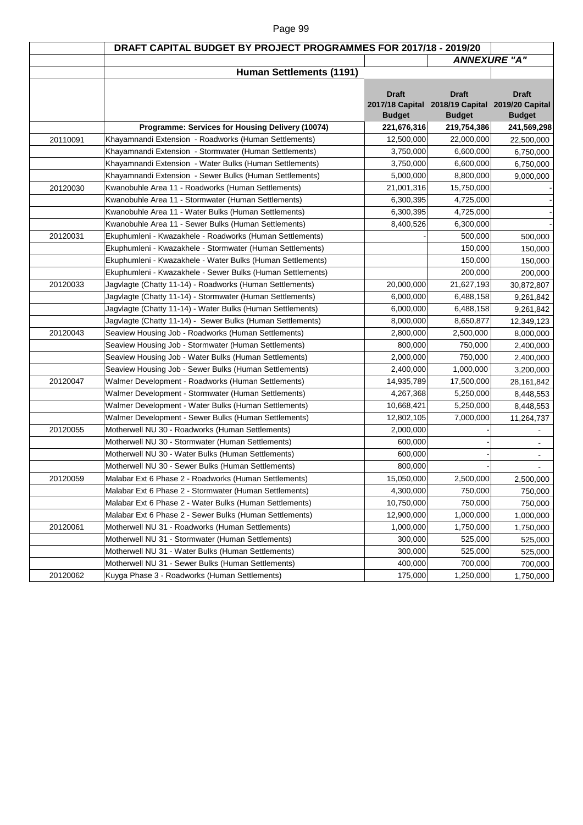|          | DRAFT CAPITAL BUDGET BY PROJECT PROGRAMMES FOR 2017/18 - 2019/20 |               |                                                 |                     |
|----------|------------------------------------------------------------------|---------------|-------------------------------------------------|---------------------|
|          |                                                                  |               |                                                 | <b>ANNEXURE "A"</b> |
|          | <b>Human Settlements (1191)</b>                                  |               |                                                 |                     |
|          |                                                                  |               |                                                 |                     |
|          |                                                                  | <b>Draft</b>  | <b>Draft</b>                                    | <b>Draft</b>        |
|          |                                                                  |               | 2017/18 Capital 2018/19 Capital 2019/20 Capital |                     |
|          |                                                                  | <b>Budget</b> | <b>Budget</b>                                   | <b>Budget</b>       |
|          | Programme: Services for Housing Delivery (10074)                 | 221,676,316   | 219,754,386                                     | 241,569,298         |
| 20110091 | Khayamnandi Extension - Roadworks (Human Settlements)            | 12,500,000    | 22,000,000                                      | 22,500,000          |
|          | Khayamnandi Extension - Stormwater (Human Settlements)           | 3,750,000     | 6,600,000                                       | 6,750,000           |
|          | Khayamnandi Extension - Water Bulks (Human Settlements)          | 3,750,000     | 6,600,000                                       | 6,750,000           |
|          | Khayamnandi Extension - Sewer Bulks (Human Settlements)          | 5,000,000     | 8,800,000                                       | 9,000,000           |
| 20120030 | Kwanobuhle Area 11 - Roadworks (Human Settlements)               | 21,001,316    | 15,750,000                                      |                     |
|          | Kwanobuhle Area 11 - Stormwater (Human Settlements)              | 6,300,395     | 4,725,000                                       |                     |
|          | Kwanobuhle Area 11 - Water Bulks (Human Settlements)             | 6,300,395     | 4,725,000                                       |                     |
|          | Kwanobuhle Area 11 - Sewer Bulks (Human Settlements)             | 8,400,526     | 6,300,000                                       |                     |
| 20120031 | Ekuphumleni - Kwazakhele - Roadworks (Human Settlements)         |               | 500,000                                         | 500,000             |
|          | Ekuphumleni - Kwazakhele - Stormwater (Human Settlements)        |               | 150,000                                         | 150,000             |
|          | Ekuphumleni - Kwazakhele - Water Bulks (Human Settlements)       |               | 150,000                                         | 150,000             |
|          | Ekuphumleni - Kwazakhele - Sewer Bulks (Human Settlements)       |               | 200,000                                         | 200,000             |
| 20120033 | Jagvlagte (Chatty 11-14) - Roadworks (Human Settlements)         | 20,000,000    | 21,627,193                                      | 30,872,807          |
|          | Jagvlagte (Chatty 11-14) - Stormwater (Human Settlements)        | 6,000,000     | 6,488,158                                       | 9,261,842           |
|          | Jagvlagte (Chatty 11-14) - Water Bulks (Human Settlements)       | 6,000,000     | 6,488,158                                       | 9,261,842           |
|          | Jagvlagte (Chatty 11-14) - Sewer Bulks (Human Settlements)       | 8,000,000     | 8,650,877                                       | 12,349,123          |
| 20120043 | Seaview Housing Job - Roadworks (Human Settlements)              | 2,800,000     | 2,500,000                                       | 8,000,000           |
|          | Seaview Housing Job - Stormwater (Human Settlements)             | 800,000       | 750,000                                         | 2,400,000           |
|          | Seaview Housing Job - Water Bulks (Human Settlements)            | 2,000,000     | 750,000                                         | 2,400,000           |
|          | Seaview Housing Job - Sewer Bulks (Human Settlements)            | 2,400,000     | 1,000,000                                       | 3,200,000           |
| 20120047 | Walmer Development - Roadworks (Human Settlements)               | 14,935,789    | 17,500,000                                      | 28, 161, 842        |
|          | Walmer Development - Stormwater (Human Settlements)              | 4,267,368     | 5,250,000                                       | 8,448,553           |
|          | Walmer Development - Water Bulks (Human Settlements)             | 10,668,421    | 5,250,000                                       | 8,448,553           |
|          | Walmer Development - Sewer Bulks (Human Settlements)             | 12,802,105    | 7,000,000                                       | 11,264,737          |
| 20120055 | Motherwell NU 30 - Roadworks (Human Settlements)                 | 2,000,000     |                                                 |                     |
|          | Motherwell NU 30 - Stormwater (Human Settlements)                | 600,000       |                                                 |                     |
|          | Motherwell NU 30 - Water Bulks (Human Settlements)               | 600,000       |                                                 |                     |
|          | Motherwell NU 30 - Sewer Bulks (Human Settlements)               | 800,000       |                                                 |                     |
| 20120059 | Malabar Ext 6 Phase 2 - Roadworks (Human Settlements)            | 15,050,000    | 2,500,000                                       | 2,500,000           |
|          | Malabar Ext 6 Phase 2 - Stormwater (Human Settlements)           | 4,300,000     | 750,000                                         | 750,000             |
|          | Malabar Ext 6 Phase 2 - Water Bulks (Human Settlements)          | 10,750,000    | 750,000                                         | 750,000             |
|          | Malabar Ext 6 Phase 2 - Sewer Bulks (Human Settlements)          | 12,900,000    | 1,000,000                                       | 1,000,000           |
| 20120061 | Motherwell NU 31 - Roadworks (Human Settlements)                 | 1,000,000     | 1,750,000                                       | 1,750,000           |
|          | Motherwell NU 31 - Stormwater (Human Settlements)                | 300,000       | 525,000                                         | 525,000             |
|          | Motherwell NU 31 - Water Bulks (Human Settlements)               | 300,000       | 525,000                                         |                     |
|          | Motherwell NU 31 - Sewer Bulks (Human Settlements)               | 400,000       | 700,000                                         | 525,000<br>700,000  |
| 20120062 | Kuyga Phase 3 - Roadworks (Human Settlements)                    | 175,000       | 1,250,000                                       |                     |
|          |                                                                  |               |                                                 | 1,750,000           |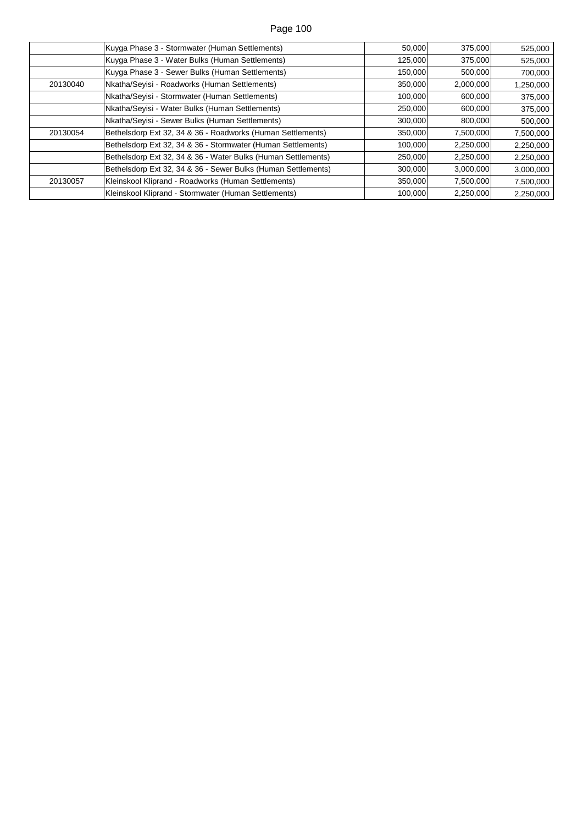|          | Kuyga Phase 3 - Stormwater (Human Settlements)                | 50,000  | 375,000   | 525,000   |
|----------|---------------------------------------------------------------|---------|-----------|-----------|
|          | Kuyga Phase 3 - Water Bulks (Human Settlements)               | 125,000 | 375,000   | 525,000   |
|          | Kuyga Phase 3 - Sewer Bulks (Human Settlements)               | 150,000 | 500,000   | 700,000   |
| 20130040 | Nkatha/Seyisi - Roadworks (Human Settlements)                 | 350,000 | 2,000,000 | 1,250,000 |
|          | Nkatha/Seyisi - Stormwater (Human Settlements)                | 100,000 | 600,000   | 375,000   |
|          | Nkatha/Seyisi - Water Bulks (Human Settlements)               | 250,000 | 600,000   | 375,000   |
|          | Nkatha/Seyisi - Sewer Bulks (Human Settlements)               | 300,000 | 800,000   | 500,000   |
| 20130054 | Bethelsdorp Ext 32, 34 & 36 - Roadworks (Human Settlements)   | 350,000 | 7,500,000 | 7,500,000 |
|          | Bethelsdorp Ext 32, 34 & 36 - Stormwater (Human Settlements)  | 100,000 | 2,250,000 | 2,250,000 |
|          | Bethelsdorp Ext 32, 34 & 36 - Water Bulks (Human Settlements) | 250,000 | 2,250,000 | 2,250,000 |
|          | Bethelsdorp Ext 32, 34 & 36 - Sewer Bulks (Human Settlements) | 300,000 | 3,000,000 | 3,000,000 |
| 20130057 | Kleinskool Kliprand - Roadworks (Human Settlements)           | 350,000 | 7,500,000 | 7,500,000 |
|          | Kleinskool Kliprand - Stormwater (Human Settlements)          | 100,000 | 2,250,000 | 2,250,000 |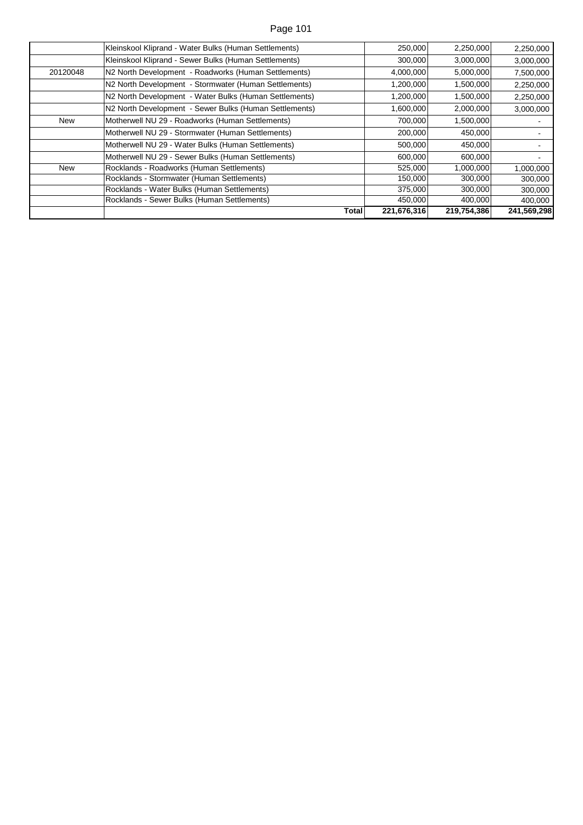|            | Kleinskool Kliprand - Water Bulks (Human Settlements)  | 250,000     | 2,250,000   | 2,250,000   |
|------------|--------------------------------------------------------|-------------|-------------|-------------|
|            | Kleinskool Kliprand - Sewer Bulks (Human Settlements)  | 300,000     | 3,000,000   | 3,000,000   |
| 20120048   | N2 North Development - Roadworks (Human Settlements)   | 4,000,000   | 5,000,000   | 7,500,000   |
|            | N2 North Development - Stormwater (Human Settlements)  | 1,200,000   | 1,500,000   | 2,250,000   |
|            | N2 North Development - Water Bulks (Human Settlements) | 1,200,000   | 1,500,000   | 2,250,000   |
|            | N2 North Development - Sewer Bulks (Human Settlements) | 1,600,000   | 2,000,000   | 3,000,000   |
| New        | Motherwell NU 29 - Roadworks (Human Settlements)       | 700,000     | 1,500,000   |             |
|            | Motherwell NU 29 - Stormwater (Human Settlements)      | 200,000     | 450,000     |             |
|            | Motherwell NU 29 - Water Bulks (Human Settlements)     | 500,000     | 450,000     |             |
|            | Motherwell NU 29 - Sewer Bulks (Human Settlements)     | 600,000     | 600,000     |             |
| <b>New</b> | Rocklands - Roadworks (Human Settlements)              | 525,000     | 1,000,000   | 1,000,000   |
|            | Rocklands - Stormwater (Human Settlements)             | 150,000     | 300,000     | 300,000     |
|            | Rocklands - Water Bulks (Human Settlements)            | 375,000     | 300,000     | 300,000     |
|            | Rocklands - Sewer Bulks (Human Settlements)            | 450,000     | 400,000     | 400,000     |
|            | <b>Total</b>                                           | 221,676,316 | 219,754,386 | 241,569,298 |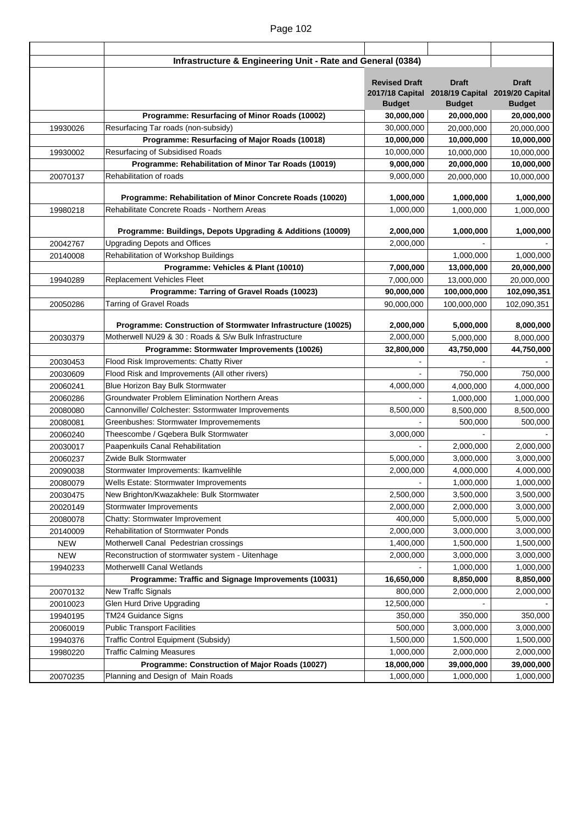|            | Infrastructure & Engineering Unit - Rate and General (0384)                 |                         |                                                 |               |
|------------|-----------------------------------------------------------------------------|-------------------------|-------------------------------------------------|---------------|
|            |                                                                             | <b>Revised Draft</b>    | <b>Draft</b>                                    | <b>Draft</b>  |
|            |                                                                             |                         | 2017/18 Capital 2018/19 Capital 2019/20 Capital |               |
|            |                                                                             | <b>Budget</b>           | <b>Budget</b>                                   | <b>Budget</b> |
|            | Programme: Resurfacing of Minor Roads (10002)                               | 30,000,000              | 20,000,000                                      | 20,000,000    |
| 19930026   | Resurfacing Tar roads (non-subsidy)                                         | 30,000,000              | 20,000,000                                      | 20,000,000    |
|            | Programme: Resurfacing of Major Roads (10018)                               | 10,000,000              | 10,000,000                                      | 10,000,000    |
| 19930002   | Resurfacing of Subsidised Roads                                             | 10,000,000              | 10,000,000                                      | 10,000,000    |
|            | Programme: Rehabilitation of Minor Tar Roads (10019)                        | 9,000,000               | 20,000,000                                      | 10,000,000    |
| 20070137   | Rehabilitation of roads                                                     | 9,000,000               | 20,000,000                                      | 10,000,000    |
|            |                                                                             |                         |                                                 |               |
|            | Programme: Rehabilitation of Minor Concrete Roads (10020)                   | 1,000,000               | 1,000,000                                       | 1,000,000     |
| 19980218   | Rehabilitate Concrete Roads - Northern Areas                                | 1,000,000               | 1,000,000                                       | 1,000,000     |
|            |                                                                             |                         |                                                 |               |
|            | Programme: Buildings, Depots Upgrading & Additions (10009)                  | 2,000,000<br>2,000,000  | 1,000,000                                       | 1,000,000     |
| 20042767   | <b>Upgrading Depots and Offices</b><br>Rehabilitation of Workshop Buildings |                         |                                                 |               |
| 20140008   | Programme: Vehicles & Plant (10010)                                         |                         | 1,000,000                                       | 1,000,000     |
|            | <b>Replacement Vehicles Fleet</b>                                           | 7,000,000               | 13,000,000                                      | 20,000,000    |
| 19940289   | Programme: Tarring of Gravel Roads (10023)                                  | 7,000,000<br>90,000,000 | 13,000,000<br>100,000,000                       | 20,000,000    |
|            | <b>Tarring of Gravel Roads</b>                                              | 90,000,000              |                                                 | 102,090,351   |
| 20050286   |                                                                             |                         | 100,000,000                                     | 102,090,351   |
|            | Programme: Construction of Stormwater Infrastructure (10025)                | 2,000,000               | 5,000,000                                       | 8,000,000     |
| 20030379   | Motherwell NU29 & 30 : Roads & S/w Bulk Infrastructure                      | 2,000,000               | 5,000,000                                       | 8,000,000     |
|            | Programme: Stormwater Improvements (10026)                                  | 32,800,000              | 43,750,000                                      | 44,750,000    |
| 20030453   | Flood Risk Improvements: Chatty River                                       |                         |                                                 |               |
| 20030609   | Flood Risk and Improvements (All other rivers)                              |                         | 750,000                                         | 750,000       |
| 20060241   | Blue Horizon Bay Bulk Stormwater                                            | 4,000,000               | 4,000,000                                       | 4,000,000     |
| 20060286   | <b>Groundwater Problem Elimination Northern Areas</b>                       |                         | 1,000,000                                       | 1,000,000     |
| 20080080   | Cannonville/ Colchester: Sstormwater Improvements                           | 8,500,000               | 8,500,000                                       | 8,500,000     |
| 20080081   | Greenbushes: Stormwater Improvemements                                      |                         | 500,000                                         | 500,000       |
| 20060240   | Theescombe / Gqebera Bulk Stormwater                                        | 3,000,000               |                                                 |               |
| 20030017   | Paapenkuils Canal Rehabilitation                                            |                         | 2,000,000                                       | 2,000,000     |
| 20060237   | Zwide Bulk Stormwater                                                       | 5,000,000               | 3,000,000                                       | 3,000,000     |
| 20090038   | Stormwater Improvements: Ikamvelihle                                        | 2,000,000               | 4,000,000                                       | 4,000,000     |
| 20080079   | Wells Estate: Stormwater Improvements                                       |                         | 1,000,000                                       | 1,000,000     |
| 20030475   | New Brighton/Kwazakhele: Bulk Stormwater                                    | 2,500,000               | 3,500,000                                       | 3,500,000     |
| 20020149   | Stormwater Improvements                                                     | 2,000,000               | 2,000,000                                       | 3,000,000     |
| 20080078   | Chatty: Stormwater Improvement                                              | 400,000                 | 5,000,000                                       | 5,000,000     |
| 20140009   | Rehabilitation of Stormwater Ponds                                          | 2,000,000               | 3,000,000                                       | 3,000,000     |
| <b>NEW</b> | Motherwell Canal Pedestrian crossings                                       | 1,400,000               | 1,500,000                                       | 1,500,000     |
| <b>NEW</b> | Reconstruction of stormwater system - Uitenhage                             | 2,000,000               | 3,000,000                                       | 3,000,000     |
| 19940233   | Motherwelll Canal Wetlands                                                  |                         | 1,000,000                                       | 1,000,000     |
|            | Programme: Traffic and Signage Improvements (10031)                         | 16,650,000              | 8,850,000                                       | 8,850,000     |
| 20070132   | New Traffc Signals                                                          | 800,000                 | 2,000,000                                       | 2,000,000     |
| 20010023   | Glen Hurd Drive Upgrading                                                   | 12,500,000              |                                                 |               |
| 19940195   | TM24 Guidance Signs                                                         | 350,000                 | 350,000                                         | 350,000       |
| 20060019   | <b>Public Transport Facilities</b>                                          | 500,000                 | 3,000,000                                       | 3,000,000     |
| 19940376   | <b>Traffic Control Equipment (Subsidy)</b>                                  | 1,500,000               | 1,500,000                                       | 1,500,000     |
| 19980220   | <b>Traffic Calming Measures</b>                                             | 1,000,000               | 2,000,000                                       | 2,000,000     |
|            | Programme: Construction of Major Roads (10027)                              | 18,000,000              | 39,000,000                                      | 39,000,000    |
| 20070235   | Planning and Design of Main Roads                                           | 1,000,000               | 1,000,000                                       | 1,000,000     |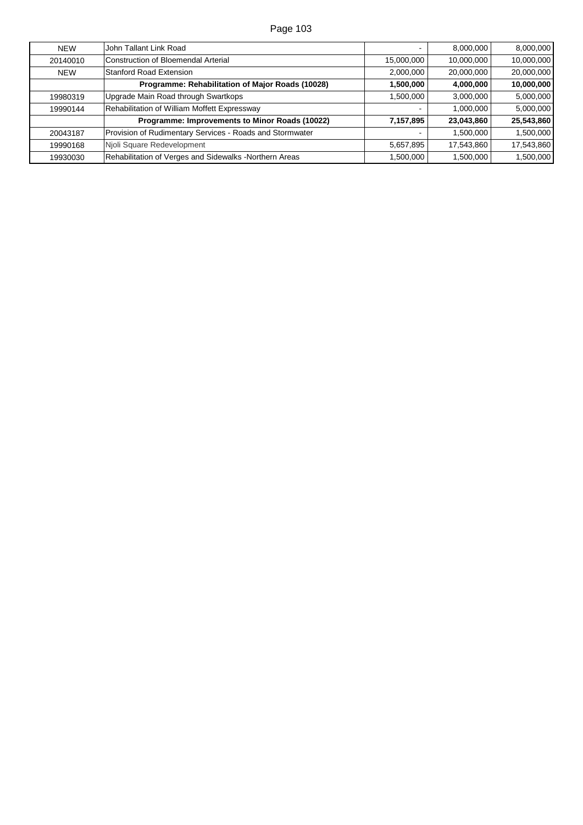| <b>NEW</b> | John Tallant Link Road                                   |            | 8,000,000  | 8,000,000  |
|------------|----------------------------------------------------------|------------|------------|------------|
| 20140010   | Construction of Bloemendal Arterial                      | 15,000,000 | 10,000,000 | 10,000,000 |
| <b>NEW</b> | <b>Stanford Road Extension</b>                           | 2,000,000  | 20,000,000 | 20,000,000 |
|            | Programme: Rehabilitation of Major Roads (10028)         | 1,500,000  | 4,000,000  | 10,000,000 |
| 19980319   | Upgrade Main Road through Swartkops                      | 1,500,000  | 3,000,000  | 5,000,000  |
| 19990144   | Rehabilitation of William Moffett Expressway             |            | 1,000,000  | 5,000,000  |
|            | Programme: Improvements to Minor Roads (10022)           | 7,157,895  | 23,043,860 | 25,543,860 |
| 20043187   | Provision of Rudimentary Services - Roads and Stormwater |            | 1,500,000  | 1,500,000  |
| 19990168   | Njoli Square Redevelopment                               | 5,657,895  | 17,543,860 | 17,543,860 |
| 19930030   | Rehabilitation of Verges and Sidewalks - Northern Areas  | 1,500,000  | 1,500,000  | 1,500,000  |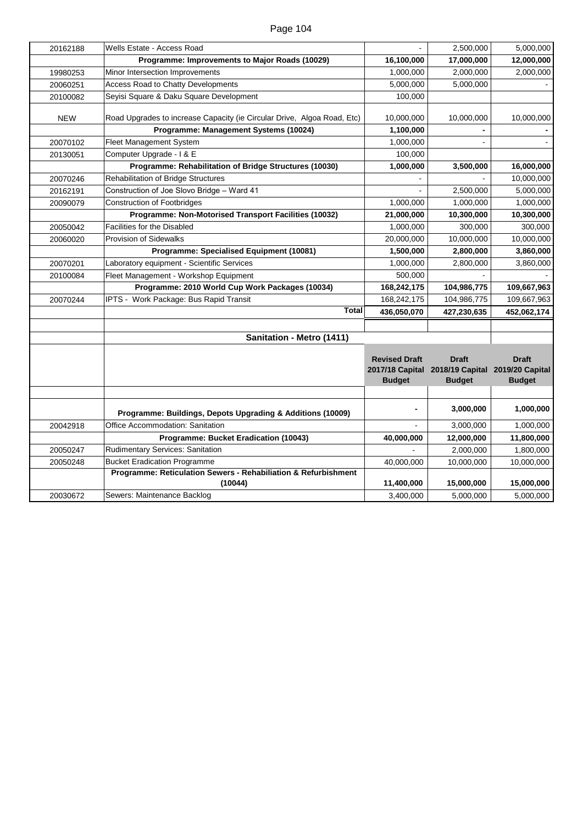| 20162188   | Wells Estate - Access Road                                              |                      | 2,500,000                                                       | 5,000,000     |
|------------|-------------------------------------------------------------------------|----------------------|-----------------------------------------------------------------|---------------|
|            | Programme: Improvements to Major Roads (10029)                          | 16,100,000           | 17,000,000                                                      | 12,000,000    |
| 19980253   | Minor Intersection Improvements                                         | 1,000,000            | 2,000,000                                                       | 2,000,000     |
| 20060251   | Access Road to Chatty Developments                                      | 5,000,000            | 5,000,000                                                       |               |
| 20100082   | Seyisi Square & Daku Square Development                                 | 100,000              |                                                                 |               |
|            |                                                                         |                      |                                                                 |               |
| <b>NEW</b> | Road Upgrades to increase Capacity (ie Circular Drive, Algoa Road, Etc) | 10,000,000           | 10,000,000                                                      | 10,000,000    |
|            | Programme: Management Systems (10024)                                   | 1,100,000            |                                                                 |               |
| 20070102   | Fleet Management System                                                 | 1,000,000            |                                                                 |               |
| 20130051   | Computer Upgrade - I & E                                                | 100,000              |                                                                 |               |
|            | Programme: Rehabilitation of Bridge Structures (10030)                  | 1,000,000            | 3,500,000                                                       | 16,000,000    |
| 20070246   | Rehabilitation of Bridge Structures                                     |                      |                                                                 | 10,000,000    |
| 20162191   | Construction of Joe Slovo Bridge - Ward 41                              |                      | 2,500,000                                                       | 5,000,000     |
| 20090079   | <b>Construction of Footbridges</b>                                      | 1,000,000            | 1,000,000                                                       | 1,000,000     |
|            | Programme: Non-Motorised Transport Facilities (10032)                   | 21,000,000           | 10,300,000                                                      | 10,300,000    |
| 20050042   | <b>Facilities for the Disabled</b>                                      | 1,000,000            | 300,000                                                         | 300,000       |
| 20060020   | <b>Provision of Sidewalks</b>                                           | 20,000,000           | 10,000,000                                                      | 10,000,000    |
|            | Programme: Specialised Equipment (10081)                                | 1,500,000            | 2,800,000                                                       | 3,860,000     |
| 20070201   | Laboratory equipment - Scientific Services                              | 1,000,000            | 2,800,000                                                       | 3,860,000     |
| 20100084   | Fleet Management - Workshop Equipment                                   | 500,000              |                                                                 |               |
|            | Programme: 2010 World Cup Work Packages (10034)                         | 168,242,175          | 104,986,775                                                     | 109,667,963   |
| 20070244   | IPTS - Work Package: Bus Rapid Transit                                  | 168,242,175          | 104,986,775                                                     | 109,667,963   |
|            | <b>Total</b>                                                            | 436,050,070          | 427,230,635                                                     | 452,062,174   |
|            |                                                                         |                      |                                                                 |               |
|            | Sanitation - Metro (1411)                                               |                      |                                                                 |               |
|            |                                                                         |                      |                                                                 |               |
|            |                                                                         | <b>Revised Draft</b> | <b>Draft</b><br>2017/18 Capital 2018/19 Capital 2019/20 Capital | <b>Draft</b>  |
|            |                                                                         | <b>Budget</b>        | <b>Budget</b>                                                   | <b>Budget</b> |
|            |                                                                         |                      |                                                                 |               |
|            |                                                                         |                      |                                                                 |               |
|            | Programme: Buildings, Depots Upgrading & Additions (10009)              | $\blacksquare$       | 3,000,000                                                       | 1,000,000     |
| 20042918   | Office Accommodation: Sanitation                                        |                      | 3,000,000                                                       | 1,000,000     |
|            | Programme: Bucket Eradication (10043)                                   | 40,000,000           | 12,000,000                                                      | 11,800,000    |
| 20050247   | Rudimentary Services: Sanitation                                        |                      | 2,000,000                                                       | 1,800,000     |
| 20050248   | <b>Bucket Eradication Programme</b>                                     | 40,000,000           | 10,000,000                                                      | 10,000,000    |
|            | Programme: Reticulation Sewers - Rehabiliation & Refurbishment          |                      |                                                                 |               |
|            | (10044)                                                                 | 11,400,000           | 15,000,000                                                      | 15,000,000    |
| 20030672   | Sewers: Maintenance Backlog                                             | 3,400,000            | 5,000,000                                                       | 5,000,000     |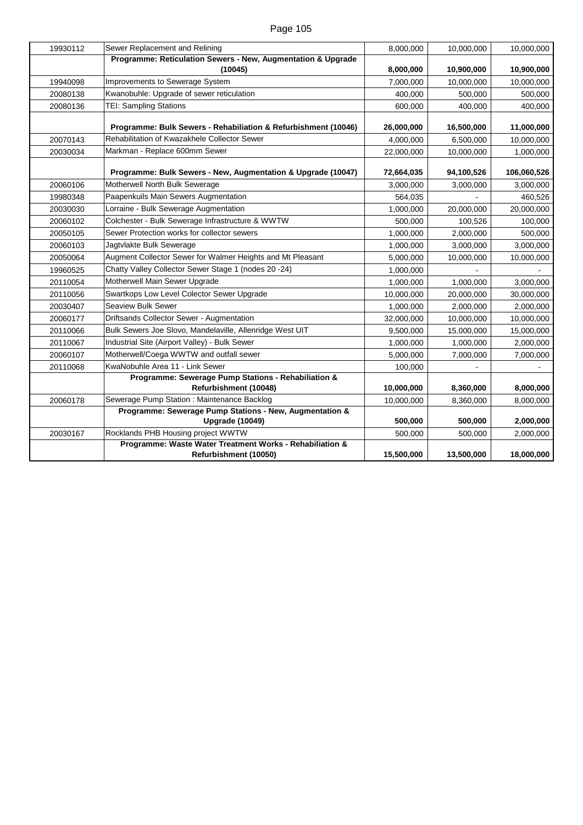| Sewer Replacement and Relining                               | 8,000,000                                                                                                                                                                                                                                                                                                                                                                                                                                                                                                                                                                                         | 10,000,000                                                                              | 10,000,000                                                                             |
|--------------------------------------------------------------|---------------------------------------------------------------------------------------------------------------------------------------------------------------------------------------------------------------------------------------------------------------------------------------------------------------------------------------------------------------------------------------------------------------------------------------------------------------------------------------------------------------------------------------------------------------------------------------------------|-----------------------------------------------------------------------------------------|----------------------------------------------------------------------------------------|
|                                                              |                                                                                                                                                                                                                                                                                                                                                                                                                                                                                                                                                                                                   |                                                                                         |                                                                                        |
| (10045)                                                      | 8,000,000                                                                                                                                                                                                                                                                                                                                                                                                                                                                                                                                                                                         | 10,900,000                                                                              | 10,900,000                                                                             |
|                                                              | 7,000,000                                                                                                                                                                                                                                                                                                                                                                                                                                                                                                                                                                                         | 10,000,000                                                                              | 10,000,000                                                                             |
| Kwanobuhle: Upgrade of sewer reticulation                    | 400,000                                                                                                                                                                                                                                                                                                                                                                                                                                                                                                                                                                                           | 500,000                                                                                 | 500,000                                                                                |
| <b>TEI: Sampling Stations</b>                                | 600,000                                                                                                                                                                                                                                                                                                                                                                                                                                                                                                                                                                                           | 400,000                                                                                 | 400,000                                                                                |
|                                                              |                                                                                                                                                                                                                                                                                                                                                                                                                                                                                                                                                                                                   |                                                                                         |                                                                                        |
|                                                              |                                                                                                                                                                                                                                                                                                                                                                                                                                                                                                                                                                                                   |                                                                                         | 11,000,000                                                                             |
|                                                              |                                                                                                                                                                                                                                                                                                                                                                                                                                                                                                                                                                                                   |                                                                                         | 10,000,000                                                                             |
|                                                              |                                                                                                                                                                                                                                                                                                                                                                                                                                                                                                                                                                                                   |                                                                                         | 1,000,000                                                                              |
| Programme: Bulk Sewers - New, Augmentation & Upgrade (10047) | 72,664,035                                                                                                                                                                                                                                                                                                                                                                                                                                                                                                                                                                                        | 94,100,526                                                                              | 106,060,526                                                                            |
| Motherwell North Bulk Sewerage                               | 3,000,000                                                                                                                                                                                                                                                                                                                                                                                                                                                                                                                                                                                         | 3,000,000                                                                               | 3,000,000                                                                              |
| Paapenkuils Main Sewers Augmentation                         | 564,035                                                                                                                                                                                                                                                                                                                                                                                                                                                                                                                                                                                           |                                                                                         | 460,526                                                                                |
| Lorraine - Bulk Sewerage Augmentation                        | 1,000,000                                                                                                                                                                                                                                                                                                                                                                                                                                                                                                                                                                                         | 20,000,000                                                                              | 20,000,000                                                                             |
| Colchester - Bulk Sewerage Infrastructure & WWTW             | 500,000                                                                                                                                                                                                                                                                                                                                                                                                                                                                                                                                                                                           | 100,526                                                                                 | 100,000                                                                                |
| Sewer Protection works for collector sewers                  | 1,000,000                                                                                                                                                                                                                                                                                                                                                                                                                                                                                                                                                                                         | 2,000,000                                                                               | 500,000                                                                                |
| Jagtvlakte Bulk Sewerage                                     | 1,000,000                                                                                                                                                                                                                                                                                                                                                                                                                                                                                                                                                                                         | 3,000,000                                                                               | 3,000,000                                                                              |
| Augment Collector Sewer for Walmer Heights and Mt Pleasant   | 5,000,000                                                                                                                                                                                                                                                                                                                                                                                                                                                                                                                                                                                         | 10,000,000                                                                              | 10,000,000                                                                             |
| Chatty Valley Collector Sewer Stage 1 (nodes 20 -24)         | 1,000,000                                                                                                                                                                                                                                                                                                                                                                                                                                                                                                                                                                                         |                                                                                         |                                                                                        |
| Motherwell Main Sewer Upgrade                                | 1,000,000                                                                                                                                                                                                                                                                                                                                                                                                                                                                                                                                                                                         | 1,000,000                                                                               | 3,000,000                                                                              |
| Swartkops Low Level Colector Sewer Upgrade                   | 10,000,000                                                                                                                                                                                                                                                                                                                                                                                                                                                                                                                                                                                        | 20,000,000                                                                              | 30,000,000                                                                             |
| Seaview Bulk Sewer                                           | 1,000,000                                                                                                                                                                                                                                                                                                                                                                                                                                                                                                                                                                                         | 2,000,000                                                                               | 2,000,000                                                                              |
| Driftsands Collector Sewer - Augmentation                    | 32,000,000                                                                                                                                                                                                                                                                                                                                                                                                                                                                                                                                                                                        | 10,000,000                                                                              | 10,000,000                                                                             |
| Bulk Sewers Joe Slovo, Mandelaville, Allenridge West UIT     | 9,500,000                                                                                                                                                                                                                                                                                                                                                                                                                                                                                                                                                                                         | 15,000,000                                                                              | 15,000,000                                                                             |
| Industrial Site (Airport Valley) - Bulk Sewer                | 1,000,000                                                                                                                                                                                                                                                                                                                                                                                                                                                                                                                                                                                         | 1,000,000                                                                               | 2,000,000                                                                              |
| Motherwell/Coega WWTW and outfall sewer                      | 5,000,000                                                                                                                                                                                                                                                                                                                                                                                                                                                                                                                                                                                         | 7,000,000                                                                               | 7,000,000                                                                              |
| KwaNobuhle Area 11 - Link Sewer                              | 100,000                                                                                                                                                                                                                                                                                                                                                                                                                                                                                                                                                                                           |                                                                                         |                                                                                        |
|                                                              |                                                                                                                                                                                                                                                                                                                                                                                                                                                                                                                                                                                                   |                                                                                         |                                                                                        |
|                                                              |                                                                                                                                                                                                                                                                                                                                                                                                                                                                                                                                                                                                   |                                                                                         | 8,000,000                                                                              |
|                                                              | 10,000,000                                                                                                                                                                                                                                                                                                                                                                                                                                                                                                                                                                                        | 8,360,000                                                                               | 8,000,000                                                                              |
|                                                              |                                                                                                                                                                                                                                                                                                                                                                                                                                                                                                                                                                                                   |                                                                                         |                                                                                        |
|                                                              |                                                                                                                                                                                                                                                                                                                                                                                                                                                                                                                                                                                                   |                                                                                         | 2,000,000                                                                              |
|                                                              |                                                                                                                                                                                                                                                                                                                                                                                                                                                                                                                                                                                                   |                                                                                         | 2,000,000                                                                              |
|                                                              |                                                                                                                                                                                                                                                                                                                                                                                                                                                                                                                                                                                                   |                                                                                         | 18,000,000                                                                             |
|                                                              | Programme: Reticulation Sewers - New, Augmentation & Upgrade<br>Improvements to Sewerage System<br>Programme: Bulk Sewers - Rehabiliation & Refurbishment (10046)<br>Rehabilitation of Kwazakhele Collector Sewer<br>Markman - Replace 600mm Sewer<br>Programme: Sewerage Pump Stations - Rehabiliation &<br>Refurbishment (10048)<br>Sewerage Pump Station : Maintenance Backlog<br>Programme: Sewerage Pump Stations - New, Augmentation &<br><b>Upgrade (10049)</b><br>Rocklands PHB Housing project WWTW<br>Programme: Waste Water Treatment Works - Rehabiliation &<br>Refurbishment (10050) | 26,000,000<br>4,000,000<br>22,000,000<br>10,000,000<br>500,000<br>500,000<br>15,500,000 | 16,500,000<br>6,500,000<br>10,000,000<br>8,360,000<br>500,000<br>500,000<br>13,500,000 |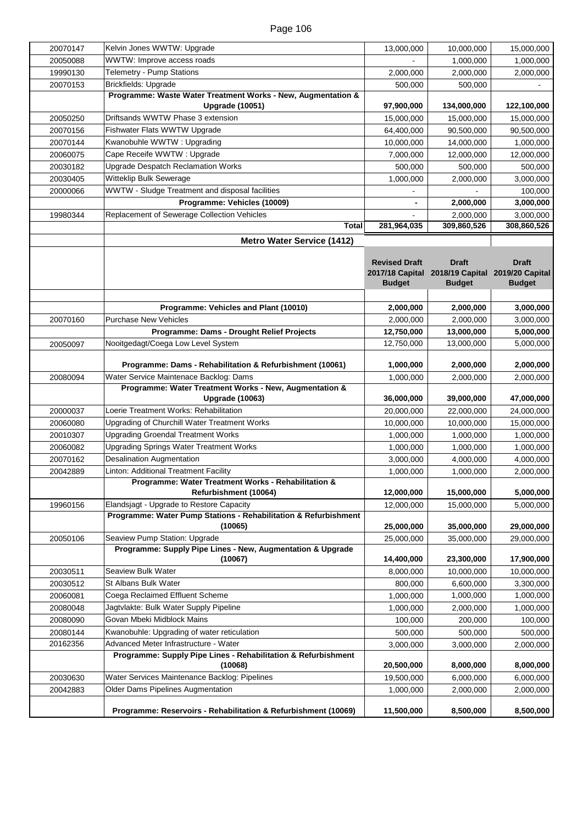| 20070147 | Kelvin Jones WWTW: Upgrade                                                           | 13,000,000               | 10,000,000                                      | 15,000,000    |
|----------|--------------------------------------------------------------------------------------|--------------------------|-------------------------------------------------|---------------|
| 20050088 | WWTW: Improve access roads                                                           |                          | 1,000,000                                       | 1,000,000     |
| 19990130 | Telemetry - Pump Stations                                                            | 2,000,000                | 2,000,000                                       | 2,000,000     |
| 20070153 | Brickfields: Upgrade                                                                 | 500,000                  | 500,000                                         |               |
|          | Programme: Waste Water Treatment Works - New, Augmentation &                         |                          |                                                 |               |
|          | <b>Upgrade (10051)</b>                                                               | 97,900,000               | 134,000,000                                     | 122,100,000   |
| 20050250 | Driftsands WWTW Phase 3 extension                                                    | 15,000,000               | 15,000,000                                      | 15,000,000    |
| 20070156 | Fishwater Flats WWTW Upgrade                                                         | 64,400,000               | 90,500,000                                      | 90,500,000    |
| 20070144 | Kwanobuhle WWTW: Upgrading                                                           | 10,000,000               | 14,000,000                                      | 1,000,000     |
| 20060075 | Cape Receife WWTW: Upgrade                                                           | 7,000,000                | 12,000,000                                      | 12,000,000    |
| 20030182 | Upgrade Despatch Reclamation Works                                                   | 500,000                  | 500,000                                         | 500,000       |
| 20030405 | Witteklip Bulk Sewerage                                                              | 1,000,000                | 2,000,000                                       | 3,000,000     |
| 20000066 | WWTW - Sludge Treatment and disposal facilities                                      |                          |                                                 | 100,000       |
|          | Programme: Vehicles (10009)                                                          | $\overline{\phantom{0}}$ | 2,000,000                                       | 3,000,000     |
| 19980344 | Replacement of Sewerage Collection Vehicles                                          |                          | 2,000,000                                       | 3,000,000     |
|          | Total                                                                                | 281,964,035              | 309,860,526                                     | 308,860,526   |
|          | <b>Metro Water Service (1412)</b>                                                    |                          |                                                 |               |
|          |                                                                                      |                          |                                                 |               |
|          |                                                                                      | <b>Revised Draft</b>     | <b>Draft</b>                                    | <b>Draft</b>  |
|          |                                                                                      |                          | 2017/18 Capital 2018/19 Capital 2019/20 Capital |               |
|          |                                                                                      | <b>Budget</b>            | <b>Budget</b>                                   | <b>Budget</b> |
|          |                                                                                      |                          |                                                 |               |
|          | Programme: Vehicles and Plant (10010)                                                | 2,000,000                | 2,000,000                                       | 3,000,000     |
| 20070160 | <b>Purchase New Vehicles</b>                                                         | 2,000,000                | 2,000,000                                       | 3,000,000     |
|          | Programme: Dams - Drought Relief Projects                                            | 12,750,000               | 13,000,000                                      | 5,000,000     |
| 20050097 | Nooitgedagt/Coega Low Level System                                                   | 12,750,000               | 13,000,000                                      | 5,000,000     |
|          | Programme: Dams - Rehabilitation & Refurbishment (10061)                             | 1,000,000                | 2,000,000                                       | 2,000,000     |
| 20080094 | Water Service Maintenace Backlog: Dams                                               | 1,000,000                | 2,000,000                                       | 2,000,000     |
|          | Programme: Water Treatment Works - New, Augmentation &                               |                          |                                                 |               |
|          | <b>Upgrade (10063)</b>                                                               | 36,000,000               | 39,000,000                                      | 47,000,000    |
| 20000037 | Loerie Treatment Works: Rehabilitation                                               | 20,000,000               | 22,000,000                                      | 24,000,000    |
| 20060080 | Upgrading of Churchill Water Treatment Works                                         | 10,000,000               | 10,000,000                                      | 15,000,000    |
| 20010307 | <b>Upgrading Groendal Treatment Works</b>                                            | 1,000,000                | 1,000,000                                       | 1,000,000     |
| 20060082 | Upgrading Springs Water Treatment Works                                              | 1,000,000                | 1,000,000                                       | 1,000,000     |
| 20070162 | <b>Desalination Augmentation</b>                                                     | 3,000,000                | 4,000,000                                       | 4,000,000     |
| 20042889 | Linton: Additional Treatment Facility                                                | 1,000,000                | 1,000,000                                       | 2,000,000     |
|          | Programme: Water Treatment Works - Rehabilitation &                                  |                          |                                                 |               |
|          | Refurbishment (10064)                                                                | 12,000,000               | 15,000,000                                      | 5,000,000     |
| 19960156 | Elandsjagt - Upgrade to Restore Capacity                                             | 12,000,000               | 15,000,000                                      | 5,000,000     |
|          | Programme: Water Pump Stations - Rehabilitation & Refurbishment                      |                          |                                                 |               |
|          | (10065)                                                                              | 25,000,000               | 35,000,000                                      | 29,000,000    |
| 20050106 | Seaview Pump Station: Upgrade                                                        | 25,000,000               | 35,000,000                                      | 29,000,000    |
|          | Programme: Supply Pipe Lines - New, Augmentation & Upgrade<br>(10067)                |                          |                                                 |               |
|          | Seaview Bulk Water                                                                   | 14,400,000               | 23,300,000                                      | 17,900,000    |
| 20030511 | St Albans Bulk Water                                                                 | 8,000,000                | 10,000,000                                      | 10,000,000    |
| 20030512 | Coega Reclaimed Effluent Scheme                                                      | 800,000                  | 6,600,000                                       | 3,300,000     |
| 20060081 |                                                                                      | 1,000,000                | 1,000,000                                       | 1,000,000     |
| 20080048 | Jagtvlakte: Bulk Water Supply Pipeline                                               | 1,000,000                | 2,000,000                                       | 1,000,000     |
| 20080090 | Govan Mbeki Midblock Mains                                                           | 100,000                  | 200,000                                         | 100,000       |
| 20080144 | Kwanobuhle: Upgrading of water reticulation<br>Advanced Meter Infrastructure - Water | 500,000                  | 500,000                                         | 500,000       |
| 20162356 | Programme: Supply Pipe Lines - Rehabilitation & Refurbishment                        | 3,000,000                | 3,000,000                                       | 2,000,000     |
|          | (10068)                                                                              | 20,500,000               | 8,000,000                                       | 8,000,000     |
| 20030630 | Water Services Maintenance Backlog: Pipelines                                        | 19,500,000               | 6,000,000                                       | 6,000,000     |
| 20042883 | <b>Older Dams Pipelines Augmentation</b>                                             | 1,000,000                | 2,000,000                                       | 2,000,000     |
|          |                                                                                      |                          |                                                 |               |
|          | Programme: Reservoirs - Rehabilitation & Refurbishment (10069)                       | 11,500,000               | 8,500,000                                       | 8,500,000     |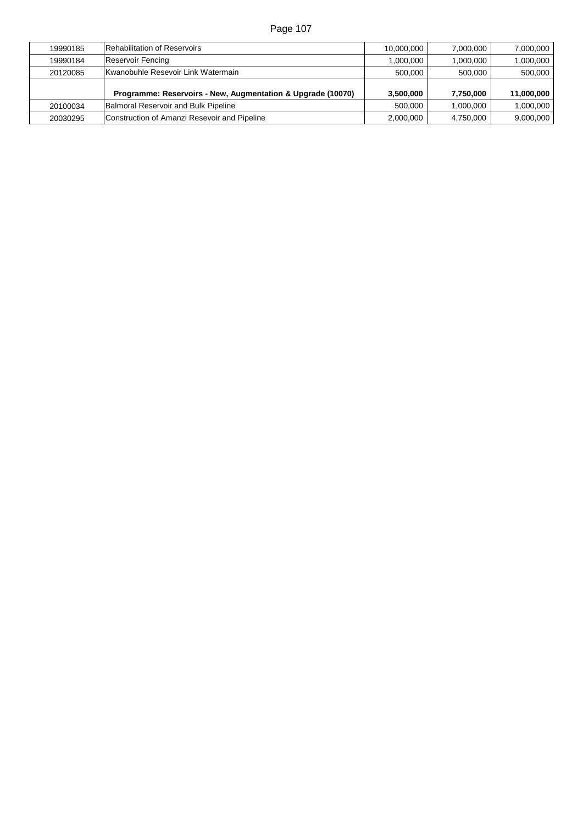| 19990185 | Rehabilitation of Reservoirs                                | 10,000,000 | 7,000,000 | 7,000,000  |
|----------|-------------------------------------------------------------|------------|-----------|------------|
| 19990184 | Reservoir Fencing                                           | 1,000,000  | 1,000,000 | 1,000,000  |
| 20120085 | Kwanobuhle Resevoir Link Watermain                          | 500,000    | 500,000   | 500,000    |
|          |                                                             |            |           |            |
|          | Programme: Reservoirs - New, Augmentation & Upgrade (10070) | 3,500,000  | 7,750,000 | 11,000,000 |
| 20100034 | Balmoral Reservoir and Bulk Pipeline                        | 500,000    | 1.000.000 | 1,000,000  |
| 20030295 | Construction of Amanzi Resevoir and Pipeline                | 2,000,000  | 4.750.000 | 9,000,000  |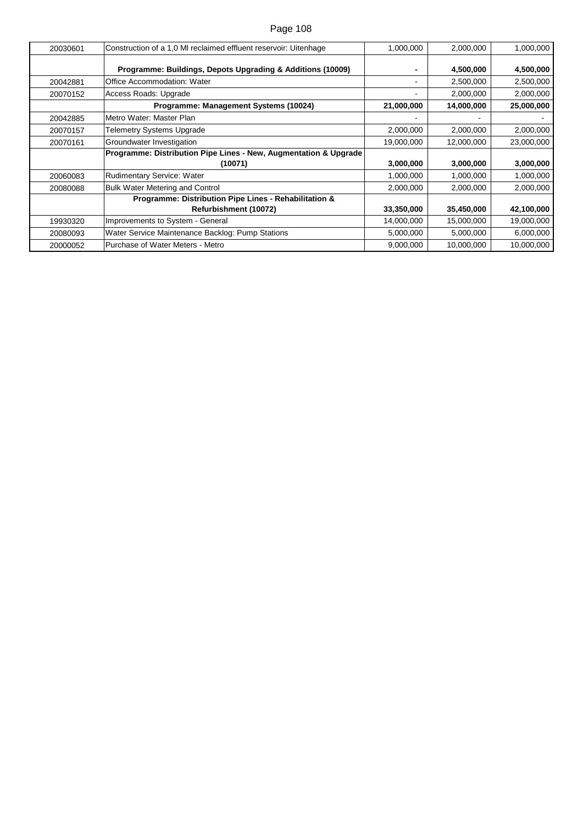| 20030601 | Construction of a 1,0 MI reclaimed effluent reservoir: Uitenhage               | 1,000,000  | 2,000,000  | 1,000,000  |
|----------|--------------------------------------------------------------------------------|------------|------------|------------|
|          | Programme: Buildings, Depots Upgrading & Additions (10009)                     |            | 4,500,000  | 4,500,000  |
| 20042881 | Office Accommodation: Water                                                    |            | 2,500,000  | 2,500,000  |
| 20070152 | Access Roads: Upgrade                                                          |            | 2,000,000  | 2,000,000  |
|          | Programme: Management Systems (10024)                                          | 21,000,000 | 14,000,000 | 25,000,000 |
| 20042885 | Metro Water: Master Plan                                                       |            |            |            |
| 20070157 | <b>Telemetry Systems Upgrade</b>                                               | 2,000,000  | 2,000,000  | 2,000,000  |
| 20070161 | Groundwater Investigation                                                      | 19,000,000 | 12,000,000 | 23,000,000 |
|          | Programme: Distribution Pipe Lines - New, Augmentation & Upgrade               |            |            |            |
|          | (10071)                                                                        | 3,000,000  | 3,000,000  | 3,000,000  |
| 20060083 | Rudimentary Service: Water                                                     | 1,000,000  | 1,000,000  | 1,000,000  |
| 20080088 | <b>Bulk Water Metering and Control</b>                                         | 2,000,000  | 2,000,000  | 2,000,000  |
|          | Programme: Distribution Pipe Lines - Rehabilitation &<br>Refurbishment (10072) | 33,350,000 | 35,450,000 | 42,100,000 |
| 19930320 | Improvements to System - General                                               | 14,000,000 | 15,000,000 | 19,000,000 |
| 20080093 | Water Service Maintenance Backlog: Pump Stations                               | 5,000,000  | 5,000,000  | 6,000,000  |
| 20000052 | Purchase of Water Meters - Metro                                               | 9,000,000  | 10,000,000 | 10,000,000 |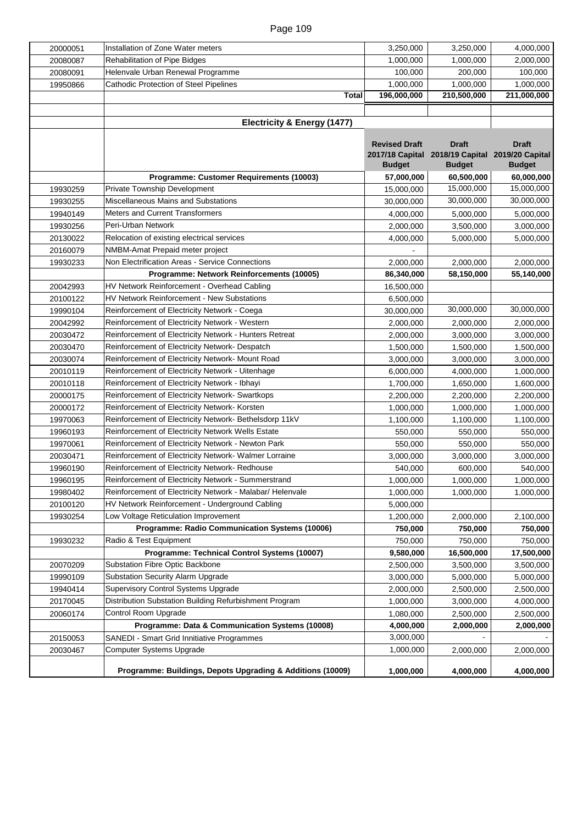| 20000051 | Installation of Zone Water meters                          | 3,250,000            | 3,250,000                                       | 4,000,000     |
|----------|------------------------------------------------------------|----------------------|-------------------------------------------------|---------------|
| 20080087 | <b>Rehabilitation of Pipe Bidges</b>                       | 1,000,000            | 1,000,000                                       | 2,000,000     |
| 20080091 | Helenvale Urban Renewal Programme                          | 100,000              | 200,000                                         | 100,000       |
| 19950866 | Cathodic Protection of Steel Pipelines                     | 1,000,000            | 1,000,000                                       | 1,000,000     |
|          | <b>Total</b>                                               | 196,000,000          | 210,500,000                                     | 211,000,000   |
|          |                                                            |                      |                                                 |               |
|          | Electricity & Energy (1477)                                |                      |                                                 |               |
|          |                                                            |                      |                                                 |               |
|          |                                                            | <b>Revised Draft</b> | <b>Draft</b>                                    | <b>Draft</b>  |
|          |                                                            |                      | 2017/18 Capital 2018/19 Capital 2019/20 Capital |               |
|          |                                                            | <b>Budget</b>        | <b>Budget</b>                                   | <b>Budget</b> |
|          | Programme: Customer Requirements (10003)                   | 57,000,000           | 60,500,000                                      | 60,000,000    |
| 19930259 | Private Township Development                               | 15,000,000           | 15,000,000                                      | 15,000,000    |
| 19930255 | Miscellaneous Mains and Substations                        | 30,000,000           | 30,000,000                                      | 30,000,000    |
| 19940149 | <b>Meters and Current Transformers</b>                     | 4,000,000            | 5,000,000                                       | 5,000,000     |
| 19930256 | Peri-Urban Network                                         | 2,000,000            | 3,500,000                                       | 3,000,000     |
| 20130022 | Relocation of existing electrical services                 | 4,000,000            | 5,000,000                                       | 5,000,000     |
| 20160079 | NMBM-Amat Prepaid meter project                            |                      |                                                 |               |
| 19930233 | Non Electrification Areas - Service Connections            | 2,000,000            | 2,000,000                                       | 2,000,000     |
|          | Programme: Network Reinforcements (10005)                  | 86,340,000           | 58,150,000                                      | 55,140,000    |
| 20042993 | HV Network Reinforcement - Overhead Cabling                | 16,500,000           |                                                 |               |
| 20100122 | <b>HV Network Reinforcement - New Substations</b>          | 6,500,000            |                                                 |               |
| 19990104 | Reinforcement of Electricity Network - Coega               | 30,000,000           | 30,000,000                                      | 30,000,000    |
| 20042992 | Reinforcement of Electricity Network - Western             | 2,000,000            | 2,000,000                                       | 2,000,000     |
| 20030472 | Reinforcement of Electricity Network - Hunters Retreat     | 2,000,000            | 3,000,000                                       | 3,000,000     |
| 20030470 | Reinforcement of Electricity Network- Despatch             | 1,500,000            | 1,500,000                                       | 1,500,000     |
| 20030074 | Reinforcement of Electricity Network- Mount Road           | 3,000,000            | 3,000,000                                       | 3,000,000     |
| 20010119 | Reinforcement of Electricity Network - Uitenhage           | 6,000,000            | 4,000,000                                       | 1,000,000     |
| 20010118 | Reinforcement of Electricity Network - Ibhayi              | 1,700,000            | 1,650,000                                       | 1,600,000     |
| 20000175 | Reinforcement of Electricity Network- Swartkops            | 2,200,000            | 2,200,000                                       | 2,200,000     |
| 20000172 | Reinforcement of Electricity Network- Korsten              | 1,000,000            | 1,000,000                                       | 1,000,000     |
| 19970063 | Reinforcement of Electricity Network-Bethelsdorp 11kV      | 1,100,000            | 1,100,000                                       | 1,100,000     |
| 19960193 | Reinforcement of Electricity Network Wells Estate          | 550,000              | 550,000                                         | 550,000       |
| 19970061 | Reinforcement of Electricity Network - Newton Park         | 550,000              | 550,000                                         | 550,000       |
| 20030471 | Reinforcement of Electricity Network- Walmer Lorraine      | 3,000,000            | 3,000,000                                       | 3,000,000     |
| 19960190 | Reinforcement of Electricity Network- Redhouse             | 540,000              | 600,000                                         | 540,000       |
| 19960195 | Reinforcement of Electricity Network - Summerstrand        | 1,000,000            | 1,000,000                                       | 1,000,000     |
| 19980402 | Reinforcement of Electricity Network - Malabar/ Helenvale  | 1,000,000            | 1,000,000                                       | 1,000,000     |
| 20100120 | HV Network Reinforcement - Underground Cabling             | 5,000,000            |                                                 |               |
| 19930254 | Low Voltage Reticulation Improvement                       | 1,200,000            | 2,000,000                                       | 2,100,000     |
|          | Programme: Radio Communication Systems (10006)             | 750,000              | 750,000                                         | 750,000       |
| 19930232 | Radio & Test Equipment                                     | 750,000              | 750,000                                         | 750,000       |
|          | Programme: Technical Control Systems (10007)               | 9,580,000            | 16,500,000                                      | 17,500,000    |
| 20070209 | Substation Fibre Optic Backbone                            | 2,500,000            | 3,500,000                                       | 3,500,000     |
| 19990109 | Substation Security Alarm Upgrade                          | 3,000,000            | 5,000,000                                       | 5,000,000     |
| 19940414 | Supervisory Control Systems Upgrade                        | 2,000,000            | 2,500,000                                       | 2,500,000     |
| 20170045 | Distribution Substation Building Refurbishment Program     | 1,000,000            | 3,000,000                                       | 4,000,000     |
| 20060174 | Control Room Upgrade                                       | 1,080,000            | 2,500,000                                       | 2,500,000     |
|          | Programme: Data & Communication Systems (10008)            | 4,000,000            | 2,000,000                                       | 2,000,000     |
| 20150053 | SANEDI - Smart Grid Innitiative Programmes                 | 3,000,000            |                                                 |               |
| 20030467 | Computer Systems Upgrade                                   | 1,000,000            | 2,000,000                                       | 2,000,000     |
|          |                                                            |                      |                                                 |               |
|          | Programme: Buildings, Depots Upgrading & Additions (10009) | 1,000,000            | 4,000,000                                       | 4,000,000     |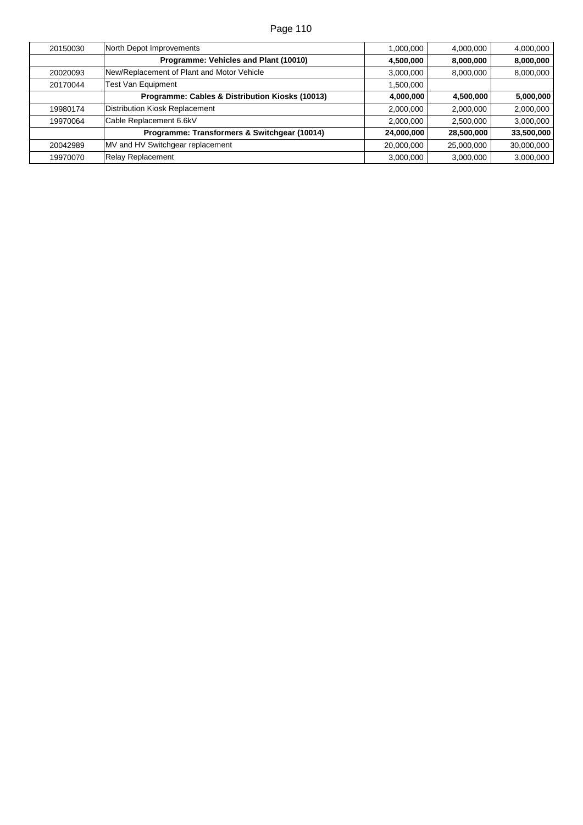| 20150030 | North Depot Improvements                        | 1,000,000  | 4,000,000  | 4,000,000  |
|----------|-------------------------------------------------|------------|------------|------------|
|          | Programme: Vehicles and Plant (10010)           | 4,500,000  | 8,000,000  | 8,000,000  |
| 20020093 | New/Replacement of Plant and Motor Vehicle      | 3,000,000  | 8,000,000  | 8,000,000  |
| 20170044 | <b>Test Van Equipment</b>                       | 1,500,000  |            |            |
|          | Programme: Cables & Distribution Kiosks (10013) | 4,000,000  | 4,500,000  | 5,000,000  |
| 19980174 | Distribution Kiosk Replacement                  | 2,000,000  | 2,000,000  | 2,000,000  |
| 19970064 | Cable Replacement 6.6kV                         | 2,000,000  | 2,500,000  | 3,000,000  |
|          | Programme: Transformers & Switchgear (10014)    | 24,000,000 | 28,500,000 | 33,500,000 |
| 20042989 | MV and HV Switchgear replacement                | 20,000,000 | 25,000,000 | 30,000,000 |
| 19970070 | Relay Replacement                               | 3,000,000  | 3,000,000  | 3,000,000  |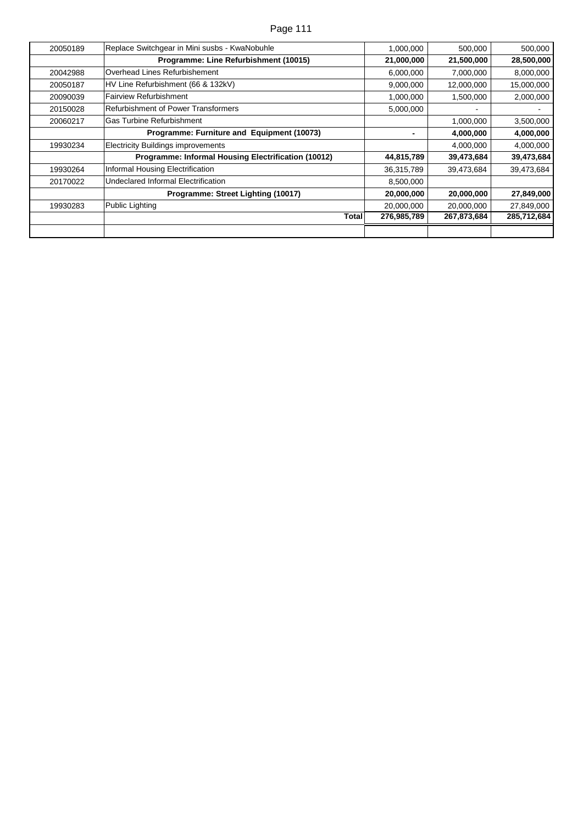| Page 111 |  |  |
|----------|--|--|
|          |  |  |

| 20050189 | Replace Switchgear in Mini susbs - KwaNobuhle       | 1,000,000   | 500,000     | 500,000     |
|----------|-----------------------------------------------------|-------------|-------------|-------------|
|          | Programme: Line Refurbishment (10015)               | 21,000,000  | 21,500,000  | 28,500,000  |
| 20042988 | Overhead Lines Refurbishement                       | 6,000,000   | 7,000,000   | 8,000,000   |
| 20050187 | HV Line Refurbishment (66 & 132kV)                  | 9,000,000   | 12,000,000  | 15,000,000  |
| 20090039 | Fairview Refurbishment                              | 1,000,000   | 1,500,000   | 2,000,000   |
| 20150028 | Refurbishment of Power Transformers                 | 5,000,000   |             |             |
| 20060217 | lGas Turbine Refurbishment                          |             | 1,000,000   | 3,500,000   |
|          | Programme: Furniture and Equipment (10073)          |             | 4,000,000   | 4,000,000   |
| 19930234 | <b>Electricity Buildings improvements</b>           |             | 4,000,000   | 4,000,000   |
|          | Programme: Informal Housing Electrification (10012) | 44,815,789  | 39,473,684  | 39,473,684  |
| 19930264 | Informal Housing Electrification                    | 36,315,789  | 39,473,684  | 39,473,684  |
| 20170022 | Undeclared Informal Electrification                 | 8,500,000   |             |             |
|          | Programme: Street Lighting (10017)                  | 20,000,000  | 20,000,000  | 27,849,000  |
| 19930283 | Public Lighting                                     | 20,000,000  | 20,000,000  | 27,849,000  |
|          | Total                                               | 276,985,789 | 267,873,684 | 285,712,684 |
|          |                                                     |             |             |             |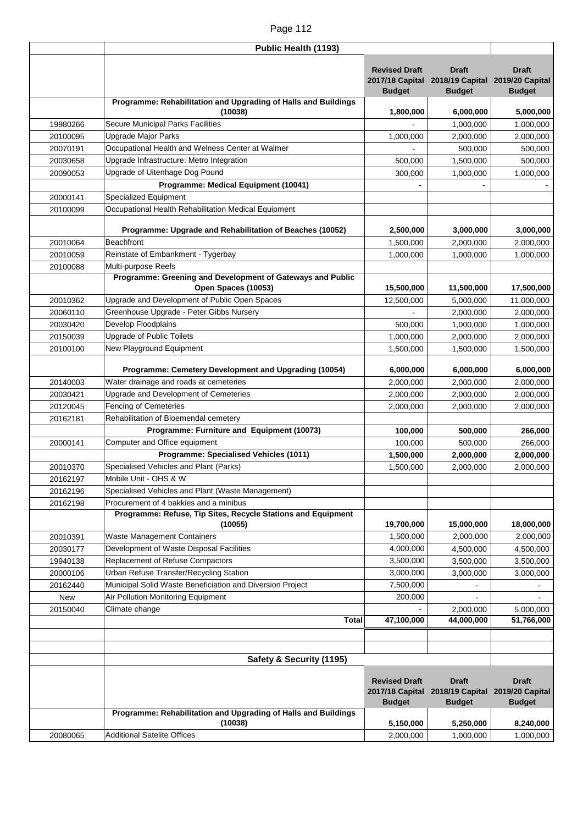|          | Public Health (1193)                                                              |                                       |                                                                                  |                               |
|----------|-----------------------------------------------------------------------------------|---------------------------------------|----------------------------------------------------------------------------------|-------------------------------|
|          |                                                                                   | <b>Revised Draft</b><br><b>Budget</b> | <b>Draft</b><br>2017/18 Capital 2018/19 Capital 2019/20 Capital<br><b>Budget</b> | <b>Draft</b><br><b>Budget</b> |
|          | Programme: Rehabilitation and Upgrading of Halls and Buildings                    |                                       |                                                                                  |                               |
| 19980266 | (10038)<br>Secure Municipal Parks Facilities                                      | 1,800,000                             | 6,000,000<br>1,000,000                                                           | 5,000,000                     |
| 20100095 | Upgrade Major Parks                                                               | 1,000,000                             | 2,000,000                                                                        | 1,000,000<br>2,000,000        |
| 20070191 | Occupational Health and Welness Center at Walmer                                  |                                       | 500,000                                                                          | 500,000                       |
| 20030658 | Upgrade Infrastructure: Metro Integration                                         | 500,000                               | 1,500,000                                                                        | 500,000                       |
| 20090053 | Upgrade of Uitenhage Dog Pound                                                    | 300,000                               | 1,000,000                                                                        | 1,000,000                     |
|          | Programme: Medical Equipment (10041)                                              |                                       |                                                                                  |                               |
| 20000141 | Specialized Equipment                                                             |                                       |                                                                                  |                               |
| 20100099 | Occupational Health Rehabilitation Medical Equipment                              |                                       |                                                                                  |                               |
|          |                                                                                   |                                       |                                                                                  |                               |
|          | Programme: Upgrade and Rehabilitation of Beaches (10052)                          | 2,500,000                             | 3,000,000                                                                        | 3,000,000                     |
| 20010064 | <b>Beachfront</b>                                                                 | 1,500,000                             | 2,000,000                                                                        | 2,000,000                     |
| 20010059 | Reinstate of Embankment - Tygerbay                                                | 1,000,000                             | 1,000,000                                                                        | 1,000,000                     |
| 20100088 | Multi-purpose Reefs                                                               |                                       |                                                                                  |                               |
|          | Programme: Greening and Development of Gateways and Public<br>Open Spaces (10053) | 15,500,000                            | 11,500,000                                                                       | 17,500,000                    |
| 20010362 | Upgrade and Development of Public Open Spaces                                     | 12,500,000                            | 5,000,000                                                                        | 11,000,000                    |
| 20060110 | Greenhouse Upgrade - Peter Gibbs Nursery                                          |                                       | 2,000,000                                                                        | 2,000,000                     |
| 20030420 | Develop Floodplains                                                               | 500,000                               | 1,000,000                                                                        | 1,000,000                     |
| 20150039 | Upgrade of Public Toilets                                                         | 1,000,000                             | 2,000,000                                                                        | 2,000,000                     |
| 20100100 | New Playground Equipment                                                          | 1,500,000                             | 1,500,000                                                                        |                               |
|          |                                                                                   |                                       |                                                                                  | 1,500,000                     |
|          | Programme: Cemetery Development and Upgrading (10054)                             | 6,000,000                             | 6,000,000                                                                        | 6,000,000                     |
| 20140003 | Water drainage and roads at cemeteries                                            | 2,000,000                             | 2,000,000                                                                        | 2,000,000                     |
| 20030421 | Upgrade and Development of Cemeteries                                             | 2,000,000                             | 2,000,000                                                                        | 2,000,000                     |
| 20120045 | <b>Fencing of Cemeteries</b>                                                      | 2,000,000                             | 2,000,000                                                                        | 2,000,000                     |
| 20162181 | Rehabilitation of Bloemendal cemetery                                             |                                       |                                                                                  |                               |
|          | Programme: Furniture and Equipment (10073)                                        | 100,000                               | 500,000                                                                          | 266,000                       |
| 20000141 | Computer and Office equipment                                                     | 100,000                               | 500,000                                                                          | 266,000                       |
|          | Programme: Specialised Vehicles (1011)                                            | 1,500,000                             | 2,000,000                                                                        | 2,000,000                     |
| 20010370 | Specialised Vehicles and Plant (Parks)                                            | 1,500,000                             | 2,000,000                                                                        | 2,000,000                     |
| 20162197 | Mobile Unit - OHS & W                                                             |                                       |                                                                                  |                               |
| 20162196 | Specialised Vehicles and Plant (Waste Management)                                 |                                       |                                                                                  |                               |
| 20162198 | Procurement of 4 bakkies and a minibus                                            |                                       |                                                                                  |                               |
|          | Programme: Refuse, Tip Sites, Recycle Stations and Equipment                      |                                       |                                                                                  |                               |
|          | (10055)                                                                           | 19,700,000                            | 15,000,000                                                                       | 18,000,000                    |
| 20010391 | Waste Management Containers                                                       | 1,500,000                             | 2,000,000                                                                        | 2,000,000                     |
| 20030177 | Development of Waste Disposal Facilities                                          | 4,000,000                             | 4,500,000                                                                        | 4,500,000                     |
| 19940138 | Replacement of Refuse Compactors                                                  | 3,500,000                             | 3,500,000                                                                        | 3,500,000                     |
| 20000106 | Urban Refuse Transfer/Recycling Station                                           | 3,000,000                             | 3,000,000                                                                        | 3,000,000                     |
| 20162440 | Municipal Solid Waste Beneficiation and Diversion Project                         | 7,500,000                             |                                                                                  |                               |
| New      | Air Pollution Monitoring Equipment                                                | 200,000                               |                                                                                  |                               |
| 20150040 | Climate change                                                                    |                                       | 2,000,000                                                                        | 5,000,000                     |
|          | <b>Total</b>                                                                      | 47,100,000                            | 44,000,000                                                                       | 51,766,000                    |
|          |                                                                                   |                                       |                                                                                  |                               |
|          | Safety & Security (1195)                                                          |                                       |                                                                                  |                               |
|          |                                                                                   |                                       |                                                                                  |                               |
|          |                                                                                   | <b>Revised Draft</b>                  | <b>Draft</b>                                                                     | <b>Draft</b>                  |
|          |                                                                                   |                                       | 2017/18 Capital 2018/19 Capital 2019/20 Capital                                  |                               |
|          | Programme: Rehabilitation and Upgrading of Halls and Buildings                    | <b>Budget</b>                         | <b>Budget</b>                                                                    | <b>Budget</b>                 |
|          | (10038)                                                                           | 5,150,000                             | 5,250,000                                                                        | 8,240,000                     |
| 20080065 | <b>Additional Satelite Offices</b>                                                | 2,000,000                             | 1,000,000                                                                        | 1,000,000                     |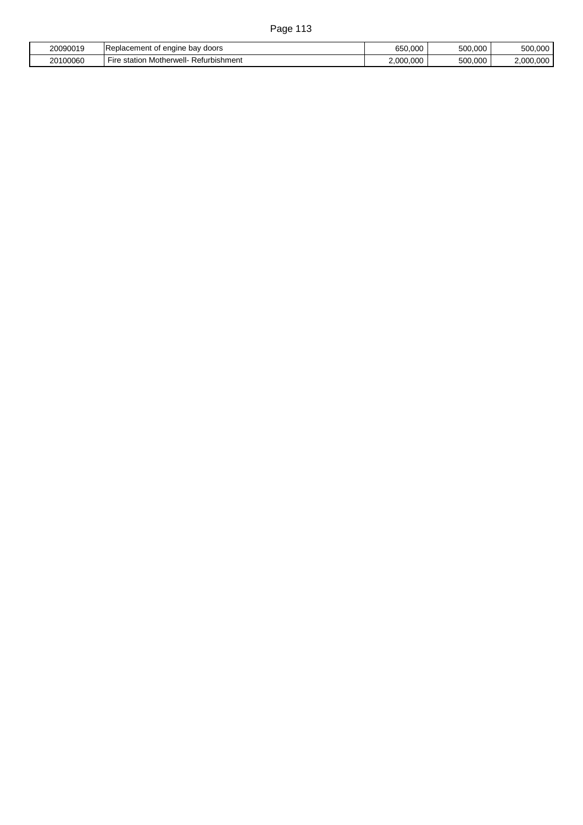| 20090019 | bav<br>' doors<br>I Replacement<br>engine<br>~+<br>۰о. | 650,000   | 500,000 | 500,000                 |
|----------|--------------------------------------------------------|-----------|---------|-------------------------|
| 20100060 | Motherwell<br>Refurbishment<br>Fire<br>station         | 2.000.000 | 500.000 | 2.000<br>$\sim$<br>.uuu |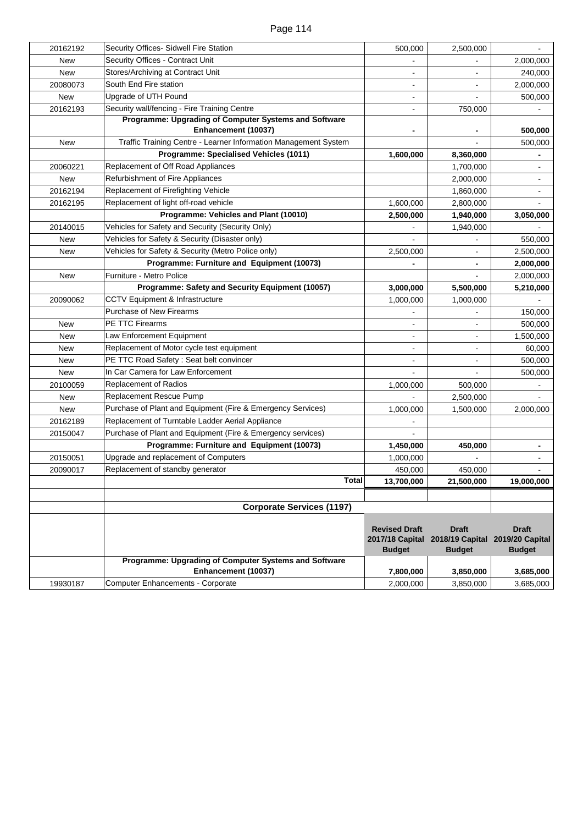| 20162192   | Security Offices- Sidwell Fire Station                                       | 500,000                                                  | 2,500,000                                        |                                                  |
|------------|------------------------------------------------------------------------------|----------------------------------------------------------|--------------------------------------------------|--------------------------------------------------|
| New        | Security Offices - Contract Unit                                             |                                                          |                                                  | 2,000,000                                        |
| New        | Stores/Archiving at Contract Unit                                            |                                                          |                                                  | 240,000                                          |
| 20080073   | South End Fire station                                                       |                                                          |                                                  | 2,000,000                                        |
| <b>New</b> | Upgrade of UTH Pound                                                         |                                                          |                                                  | 500,000                                          |
| 20162193   | Security wall/fencing - Fire Training Centre                                 |                                                          | 750,000                                          |                                                  |
|            | Programme: Upgrading of Computer Systems and Software<br>Enhancement (10037) |                                                          |                                                  | 500,000                                          |
| New        | Traffic Training Centre - Learner Information Management System              |                                                          |                                                  | 500,000                                          |
|            | Programme: Specialised Vehicles (1011)                                       | 1,600,000                                                | 8,360,000                                        |                                                  |
| 20060221   | Replacement of Off Road Appliances                                           |                                                          | 1,700,000                                        |                                                  |
| <b>New</b> | Refurbishment of Fire Appliances                                             |                                                          | 2,000,000                                        |                                                  |
| 20162194   | Replacement of Firefighting Vehicle                                          |                                                          | 1,860,000                                        |                                                  |
| 20162195   | Replacement of light off-road vehicle                                        | 1,600,000                                                | 2,800,000                                        |                                                  |
|            | Programme: Vehicles and Plant (10010)                                        | 2,500,000                                                | 1,940,000                                        | 3,050,000                                        |
| 20140015   | Vehicles for Safety and Security (Security Only)                             |                                                          | 1,940,000                                        |                                                  |
| New        | Vehicles for Safety & Security (Disaster only)                               |                                                          |                                                  | 550,000                                          |
| New        | Vehicles for Safety & Security (Metro Police only)                           | 2,500,000                                                |                                                  | 2,500,000                                        |
|            | Programme: Furniture and Equipment (10073)                                   |                                                          | -                                                | 2,000,000                                        |
| New        | Furniture - Metro Police                                                     |                                                          |                                                  | 2,000,000                                        |
|            | Programme: Safety and Security Equipment (10057)                             | 3,000,000                                                | 5,500,000                                        | 5,210,000                                        |
| 20090062   | CCTV Equipment & Infrastructure                                              | 1,000,000                                                | 1,000,000                                        |                                                  |
|            | Purchase of New Firearms                                                     |                                                          |                                                  | 150,000                                          |
| New        | PE TTC Firearms                                                              |                                                          |                                                  | 500,000                                          |
| New        | Law Enforcement Equipment                                                    |                                                          |                                                  | 1,500,000                                        |
| New        | Replacement of Motor cycle test equipment                                    |                                                          |                                                  | 60,000                                           |
| New        | PE TTC Road Safety: Seat belt convincer                                      |                                                          |                                                  | 500,000                                          |
| <b>New</b> | In Car Camera for Law Enforcement                                            |                                                          |                                                  | 500,000                                          |
| 20100059   | <b>Replacement of Radios</b>                                                 | 1,000,000                                                | 500,000                                          |                                                  |
| <b>New</b> | <b>Replacement Rescue Pump</b>                                               |                                                          | 2,500,000                                        |                                                  |
| New        | Purchase of Plant and Equipment (Fire & Emergency Services)                  | 1,000,000                                                | 1,500,000                                        | 2,000,000                                        |
| 20162189   | Replacement of Turntable Ladder Aerial Appliance                             |                                                          |                                                  |                                                  |
| 20150047   | Purchase of Plant and Equipment (Fire & Emergency services)                  |                                                          |                                                  |                                                  |
|            | Programme: Furniture and Equipment (10073)                                   | 1,450,000                                                | 450,000                                          | $\blacksquare$                                   |
| 20150051   | Upgrade and replacement of Computers                                         | 1,000,000                                                |                                                  | $\blacksquare$                                   |
| 20090017   | Replacement of standby generator                                             | 450,000                                                  | 450,000                                          |                                                  |
|            | <b>Total</b>                                                                 | 13.700.000                                               | 21.500.000                                       | 19.000.000                                       |
|            |                                                                              |                                                          |                                                  |                                                  |
|            | <b>Corporate Services (1197)</b>                                             |                                                          |                                                  |                                                  |
|            |                                                                              | <b>Revised Draft</b><br>2017/18 Capital<br><b>Budget</b> | <b>Draft</b><br>2018/19 Capital<br><b>Budget</b> | <b>Draft</b><br>2019/20 Capital<br><b>Budget</b> |
|            | Programme: Upgrading of Computer Systems and Software                        |                                                          |                                                  |                                                  |
|            | Enhancement (10037)                                                          | 7,800,000                                                | 3,850,000                                        | 3,685,000                                        |
| 19930187   | Computer Enhancements - Corporate                                            | 2,000,000                                                | 3,850,000                                        | 3,685,000                                        |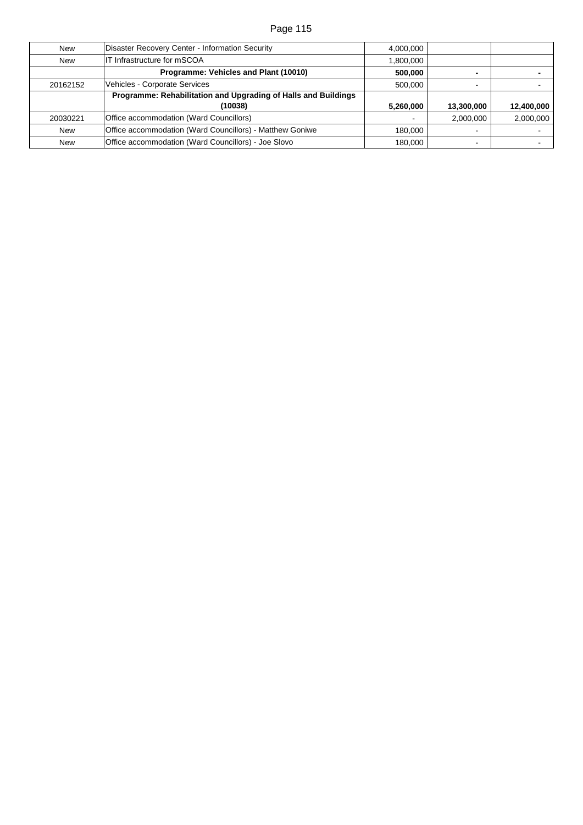| <b>New</b> | Disaster Recovery Center - Information Security                | 4,000,000 |                |            |
|------------|----------------------------------------------------------------|-----------|----------------|------------|
| New        | IT Infrastructure for mSCOA                                    | 1,800,000 |                |            |
|            | Programme: Vehicles and Plant (10010)                          | 500,000   |                |            |
| 20162152   | Vehicles - Corporate Services                                  | 500,000   | $\sim$         |            |
|            | Programme: Rehabilitation and Upgrading of Halls and Buildings |           |                |            |
|            | (10038)                                                        | 5,260,000 | 13,300,000     | 12,400,000 |
| 20030221   | Office accommodation (Ward Councillors)                        |           | 2,000,000      | 2,000,000  |
| <b>New</b> | Office accommodation (Ward Councillors) - Matthew Goniwe       | 180,000   | $\sim$         |            |
| <b>New</b> | Office accommodation (Ward Councillors) - Joe Slovo            | 180,000   | $\blacksquare$ |            |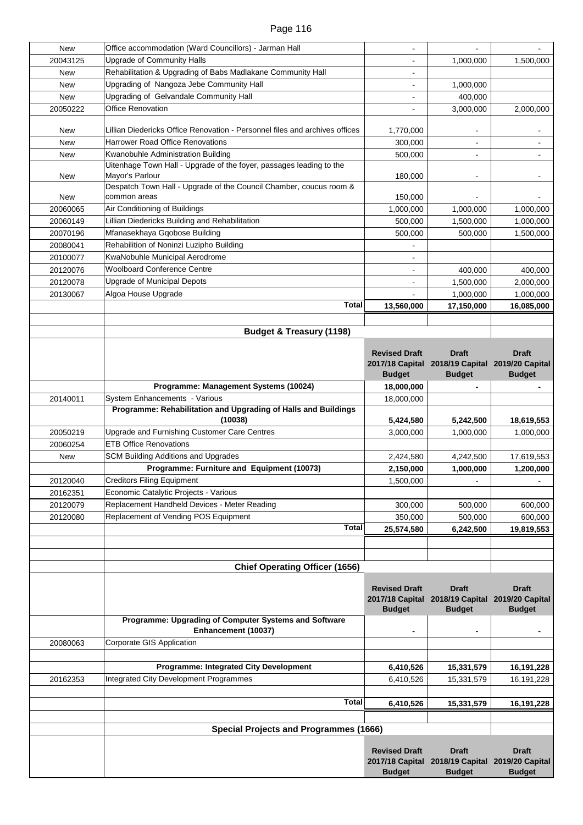| New        | Office accommodation (Ward Councillors) - Jarman Hall                       |                      |                                                 |                 |
|------------|-----------------------------------------------------------------------------|----------------------|-------------------------------------------------|-----------------|
| 20043125   | Upgrade of Community Halls                                                  |                      | 1,000,000                                       | 1,500,000       |
| <b>New</b> | Rehabilitation & Upgrading of Babs Madlakane Community Hall                 |                      |                                                 |                 |
| <b>New</b> | Upgrading of Nangoza Jebe Community Hall                                    |                      | 1,000,000                                       |                 |
| <b>New</b> | Upgrading of Gelvandale Community Hall                                      |                      | 400,000                                         |                 |
| 20050222   | <b>Office Renovation</b>                                                    |                      | 3,000,000                                       | 2,000,000       |
|            |                                                                             |                      |                                                 |                 |
| New        | Lillian Diedericks Office Renovation - Personnel files and archives offices | 1,770,000            |                                                 |                 |
| New        | <b>Harrower Road Office Renovations</b>                                     | 300,000              |                                                 |                 |
| <b>New</b> | Kwanobuhle Administration Building                                          | 500,000              |                                                 |                 |
|            | Uitenhage Town Hall - Upgrade of the foyer, passages leading to the         |                      |                                                 |                 |
| New        | Mayor's Parlour                                                             | 180,000              |                                                 |                 |
|            | Despatch Town Hall - Upgrade of the Council Chamber, coucus room &          |                      |                                                 |                 |
| New        | common areas                                                                | 150,000              |                                                 |                 |
| 20060065   | Air Conditioning of Buildings                                               | 1,000,000            | 1,000,000                                       | 1,000,000       |
| 20060149   | Lillian Diedericks Building and Rehabilitation                              | 500,000              | 1,500,000                                       | 1,000,000       |
| 20070196   | Mfanasekhaya Gqobose Building                                               | 500,000              | 500,000                                         | 1,500,000       |
| 20080041   | Rehabilition of Noninzi Luzipho Building                                    |                      |                                                 |                 |
| 20100077   | KwaNobuhle Municipal Aerodrome                                              |                      |                                                 |                 |
| 20120076   | <b>Woolboard Conference Centre</b>                                          | $\blacksquare$       | 400.000                                         | 400,000         |
| 20120078   | <b>Upgrade of Municipal Depots</b>                                          |                      | 1,500,000                                       | 2,000,000       |
| 20130067   | Algoa House Upgrade                                                         |                      | 1,000,000                                       | 1,000,000       |
|            | <b>Total</b>                                                                | 13,560,000           | 17,150,000                                      | 16,085,000      |
|            |                                                                             |                      |                                                 |                 |
|            | <b>Budget &amp; Treasury (1198)</b>                                         |                      |                                                 |                 |
|            |                                                                             |                      |                                                 |                 |
|            |                                                                             | <b>Revised Draft</b> | <b>Draft</b>                                    | <b>Draft</b>    |
|            |                                                                             |                      | 2017/18 Capital 2018/19 Capital 2019/20 Capital |                 |
|            |                                                                             | <b>Budget</b>        | <b>Budget</b>                                   | <b>Budget</b>   |
|            | Programme: Management Systems (10024)                                       | 18,000,000           |                                                 |                 |
| 20140011   | System Enhancements - Various                                               | 18,000,000           |                                                 |                 |
|            | Programme: Rehabilitation and Upgrading of Halls and Buildings              |                      |                                                 |                 |
|            | (10038)                                                                     | 5,424,580            | 5,242,500                                       | 18,619,553      |
| 20050219   | Upgrade and Furnishing Customer Care Centres                                | 3,000,000            | 1,000,000                                       | 1,000,000       |
| 20060254   | <b>ETB Office Renovations</b>                                               |                      |                                                 |                 |
| <b>New</b> | <b>SCM Building Additions and Upgrades</b>                                  | 2,424,580            | 4,242,500                                       | 17,619,553      |
|            | Programme: Furniture and Equipment (10073)                                  | 2,150,000            | 1,000,000                                       | 1,200,000       |
| 20120040   | <b>Creditors Filing Equipment</b>                                           | 1,500,000            |                                                 |                 |
| 20162351   | Economic Catalytic Projects - Various                                       |                      |                                                 |                 |
| 20120079   | Replacement Handheld Devices - Meter Reading                                | 300,000              | 500,000                                         | 600,000         |
| 20120080   | Replacement of Vending POS Equipment                                        | 350,000              | 500,000                                         | 600,000         |
|            | <b>Total</b>                                                                | 25,574,580           | 6,242,500                                       | 19,819,553      |
|            |                                                                             |                      |                                                 |                 |
|            |                                                                             |                      |                                                 |                 |
|            | <b>Chief Operating Officer (1656)</b>                                       |                      |                                                 |                 |
|            |                                                                             |                      |                                                 |                 |
|            |                                                                             | <b>Revised Draft</b> | <b>Draft</b>                                    | <b>Draft</b>    |
|            |                                                                             |                      | 2017/18 Capital 2018/19 Capital                 | 2019/20 Capital |
|            |                                                                             | <b>Budget</b>        | <b>Budget</b>                                   | <b>Budget</b>   |
|            | Programme: Upgrading of Computer Systems and Software                       |                      |                                                 |                 |
|            | Enhancement (10037)                                                         |                      |                                                 |                 |
| 20080063   | Corporate GIS Application                                                   |                      |                                                 |                 |
|            |                                                                             |                      |                                                 |                 |
|            | Programme: Integrated City Development                                      | 6,410,526            | 15,331,579                                      | 16,191,228      |
| 20162353   | <b>Integrated City Development Programmes</b>                               | 6,410,526            | 15,331,579                                      | 16, 191, 228    |
|            |                                                                             |                      |                                                 |                 |
|            | <b>Total</b>                                                                | 6,410,526            | 15,331,579                                      | 16,191,228      |
|            |                                                                             |                      |                                                 |                 |
|            |                                                                             |                      |                                                 |                 |
|            | <b>Special Projects and Programmes (1666)</b>                               |                      |                                                 |                 |
|            |                                                                             | <b>Revised Draft</b> | <b>Draft</b>                                    | <b>Draft</b>    |
|            |                                                                             |                      | 2017/18 Capital 2018/19 Capital                 | 2019/20 Capital |
|            |                                                                             | <b>Budget</b>        | <b>Budget</b>                                   | <b>Budget</b>   |
|            |                                                                             |                      |                                                 |                 |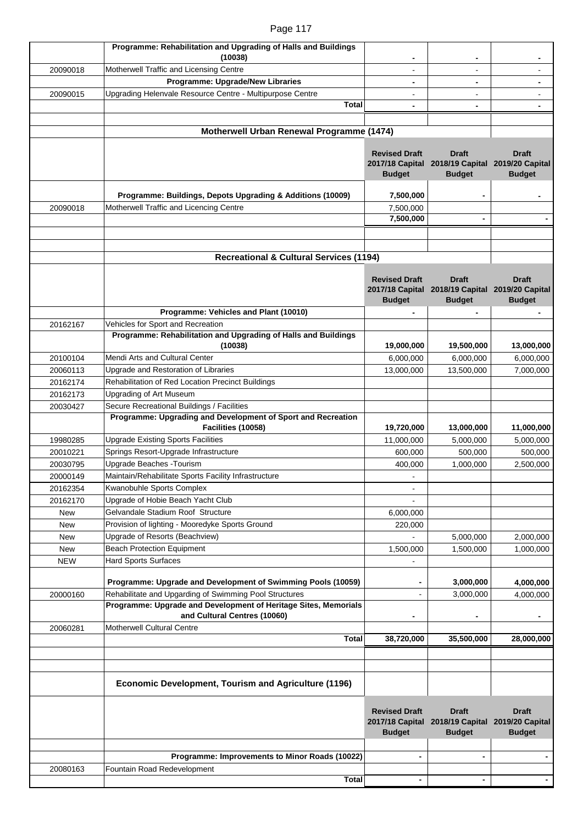|            | Programme: Rehabilitation and Upgrading of Halls and Buildings  |                                  |                                                                  |                                  |
|------------|-----------------------------------------------------------------|----------------------------------|------------------------------------------------------------------|----------------------------------|
|            | (10038)                                                         |                                  |                                                                  |                                  |
| 20090018   | Motherwell Traffic and Licensing Centre                         |                                  |                                                                  |                                  |
|            | Programme: Upgrade/New Libraries                                |                                  |                                                                  |                                  |
| 20090015   | Upgrading Helenvale Resource Centre - Multipurpose Centre       |                                  |                                                                  |                                  |
|            | <b>Total</b>                                                    |                                  |                                                                  |                                  |
|            |                                                                 |                                  |                                                                  |                                  |
|            | Motherwell Urban Renewal Programme (1474)                       |                                  |                                                                  |                                  |
|            |                                                                 |                                  |                                                                  |                                  |
|            |                                                                 | <b>Revised Draft</b>             | <b>Draft</b>                                                     | <b>Draft</b>                     |
|            |                                                                 | <b>Budget</b>                    | 2017/18 Capital 2018/19 Capital 2019/20 Capital<br><b>Budget</b> |                                  |
|            |                                                                 |                                  |                                                                  | <b>Budget</b>                    |
|            | Programme: Buildings, Depots Upgrading & Additions (10009)      | 7,500,000                        |                                                                  |                                  |
| 20090018   | Motherwell Traffic and Licencing Centre                         | 7,500,000                        |                                                                  |                                  |
|            |                                                                 | 7,500,000                        | $\blacksquare$                                                   |                                  |
|            |                                                                 |                                  |                                                                  |                                  |
|            |                                                                 |                                  |                                                                  |                                  |
|            | <b>Recreational &amp; Cultural Services (1194)</b>              |                                  |                                                                  |                                  |
|            |                                                                 |                                  |                                                                  |                                  |
|            |                                                                 | <b>Revised Draft</b>             | <b>Draft</b>                                                     | <b>Draft</b>                     |
|            |                                                                 |                                  | 2017/18 Capital 2018/19 Capital                                  | 2019/20 Capital                  |
|            | Programme: Vehicles and Plant (10010)                           | <b>Budget</b>                    | <b>Budget</b>                                                    | <b>Budget</b>                    |
|            | Vehicles for Sport and Recreation                               |                                  |                                                                  |                                  |
| 20162167   | Programme: Rehabilitation and Upgrading of Halls and Buildings  |                                  |                                                                  |                                  |
|            | (10038)                                                         | 19,000,000                       | 19,500,000                                                       | 13,000,000                       |
| 20100104   | Mendi Arts and Cultural Center                                  | 6,000,000                        | 6,000,000                                                        | 6,000,000                        |
| 20060113   | Upgrade and Restoration of Libraries                            | 13,000,000                       | 13,500,000                                                       | 7,000,000                        |
| 20162174   | Rehabilitation of Red Location Precinct Buildings               |                                  |                                                                  |                                  |
| 20162173   | <b>Upgrading of Art Museum</b>                                  |                                  |                                                                  |                                  |
| 20030427   | Secure Recreational Buildings / Facilities                      |                                  |                                                                  |                                  |
|            | Programme: Upgrading and Development of Sport and Recreation    |                                  |                                                                  |                                  |
|            | Facilities (10058)                                              | 19,720,000                       | 13,000,000                                                       | 11,000,000                       |
| 19980285   | <b>Upgrade Existing Sports Facilities</b>                       | 11,000,000                       | 5,000,000                                                        | 5,000,000                        |
| 20010221   | Springs Resort-Upgrade Infrastructure                           | 600,000                          | 500,000                                                          | 500,000                          |
| 20030795   | Upgrade Beaches - Tourism                                       | 400,000                          | 1,000,000                                                        | 2,500,000                        |
| 20000149   | Maintain/Rehabilitate Sports Facility Infrastructure            |                                  |                                                                  |                                  |
| 20162354   | Kwanobuhle Sports Complex                                       |                                  |                                                                  |                                  |
| 20162170   | Upgrade of Hobie Beach Yacht Club                               |                                  |                                                                  |                                  |
| <b>New</b> | Gelvandale Stadium Roof Structure                               | 6,000,000                        |                                                                  |                                  |
| New        | Provision of lighting - Mooredyke Sports Ground                 | 220,000                          |                                                                  |                                  |
| New        | Upgrade of Resorts (Beachview)                                  |                                  | 5,000,000                                                        | 2,000,000                        |
| <b>New</b> | <b>Beach Protection Equipment</b>                               | 1,500,000                        | 1,500,000                                                        | 1,000,000                        |
| <b>NEW</b> | <b>Hard Sports Surfaces</b>                                     |                                  |                                                                  |                                  |
|            | Programme: Upgrade and Development of Swimming Pools (10059)    |                                  | 3,000,000                                                        | 4,000,000                        |
| 20000160   | Rehabilitate and Upgarding of Swimming Pool Structures          |                                  | 3,000,000                                                        | 4,000,000                        |
|            | Programme: Upgrade and Development of Heritage Sites, Memorials |                                  |                                                                  |                                  |
|            | and Cultural Centres (10060)                                    |                                  |                                                                  |                                  |
| 20060281   | <b>Motherwell Cultural Centre</b>                               |                                  |                                                                  |                                  |
|            | <b>Total</b>                                                    | 38,720,000                       | 35,500,000                                                       | 28,000,000                       |
|            |                                                                 |                                  |                                                                  |                                  |
|            |                                                                 |                                  |                                                                  |                                  |
|            |                                                                 |                                  |                                                                  |                                  |
|            | Economic Development, Tourism and Agriculture (1196)            |                                  |                                                                  |                                  |
|            |                                                                 |                                  |                                                                  |                                  |
|            |                                                                 | <b>Revised Draft</b>             | <b>Draft</b>                                                     | <b>Draft</b>                     |
|            |                                                                 | 2017/18 Capital<br><b>Budget</b> | 2018/19 Capital<br><b>Budget</b>                                 | 2019/20 Capital<br><b>Budget</b> |
|            |                                                                 |                                  |                                                                  |                                  |
|            | Programme: Improvements to Minor Roads (10022)                  |                                  |                                                                  |                                  |
| 20080163   | Fountain Road Redevelopment                                     |                                  |                                                                  |                                  |
|            | <b>Total</b>                                                    | $\blacksquare$                   | $\overline{\phantom{a}}$                                         | $\blacksquare$                   |
|            |                                                                 |                                  |                                                                  |                                  |